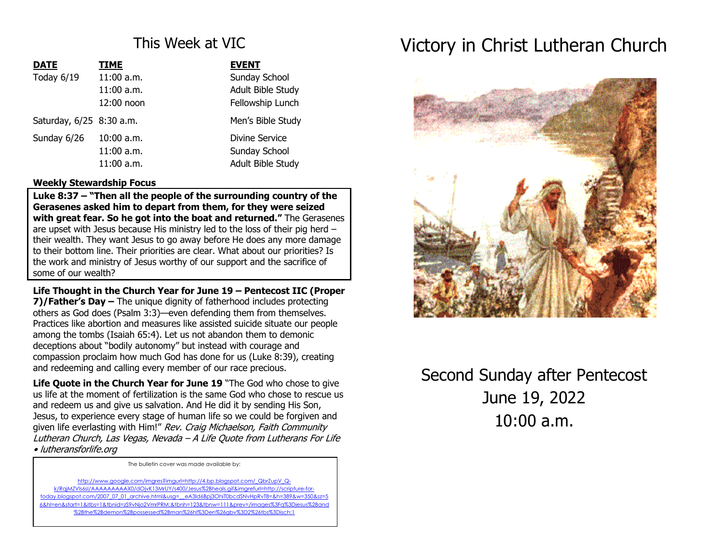## This Week at VIC

| <b>DATE</b>              | <b>TIME</b>  | <b>EVENT</b>      |
|--------------------------|--------------|-------------------|
| Today 6/19               | $11:00$ a.m. | Sunday School     |
|                          | $11:00$ a.m. | Adult Bible Study |
|                          | 12:00 noon   | Fellowship Lunch  |
| Saturday, 6/25 8:30 a.m. |              | Men's Bible Study |
| Sunday 6/26              | $10:00$ a.m. | Divine Service    |
|                          | $11:00$ a.m. | Sunday School     |
|                          | $11:00$ a.m. | Adult Bible Study |

## **Weekly Stewardship Focus**

**Luke 8:37 – "Then all the people of the surrounding country of the Gerasenes asked him to depart from them, for they were seized with great fear. So he got into the boat and returned."** The Gerasenes are upset with Jesus because His ministry led to the loss of their pig herd – their wealth. They want Jesus to go away before He does any more damage to their bottom line. Their priorities are clear. What about our priorities? Is the work and ministry of Jesus worthy of our support and the sacrifice of some of our wealth?

**Life Thought in the Church Year for June 19 – Pentecost IIC (Proper 7)/Father's Day –** The unique dignity of fatherhood includes protecting others as God does (Psalm 3:3)—even defending them from themselves. Practices like abortion and measures like assisted suicide situate our people among the tombs (Isaiah 65:4). Let us not abandon them to demonic deceptions about "bodily autonomy" but instead with courage and compassion proclaim how much God has done for us (Luke 8:39), creating and redeeming and calling every member of our race precious.

**Life Quote in the Church Year for June 19** "The God who chose to give us life at the moment of fertilization is the same God who chose to rescue us and redeem us and give us salvation. And He did it by sending His Son, Jesus, to experience every stage of human life so we could be forgiven and given life everlasting with Him!" Rev. Craig Michaelson, Faith Community Lutheran Church, Las Vegas, Nevada – A Life Quote from Lutherans For Life • lutheransforlife.org

The bulletin cover was made available by:

http://www.google.com/imgres?imgurl=http://4.bp.blogspot.com/\_QbrZupV\_Qk/RqjMZVls6sI/AAAAAAAAAX0/dOjvK13MrUY/s400/Jesus%2Bheals.gif&imgrefurl=http://scripture-fortoday.blogspot.com/2007\_07\_01\_archive.html&usg=\_\_eA3Id6Bpj3OhiT0bcdSNvHpRvT8=&h=389&w=350&sz=5 6&hl=en&start=1&itbs=1&tbnid=zS9vNjo2VmrPRM:&tbnh=123&tbnw=111&prev=/images%3Fq%3Djesus%2Band %2Bthe%2Bdemon%2Bpossessed%2Bman%26hl%3Den%26gbv%3D2%26tbs%3Disch:1

# Victory in Christ Lutheran Church



Second Sunday after Pentecost June 19, 2022 10:00 a.m.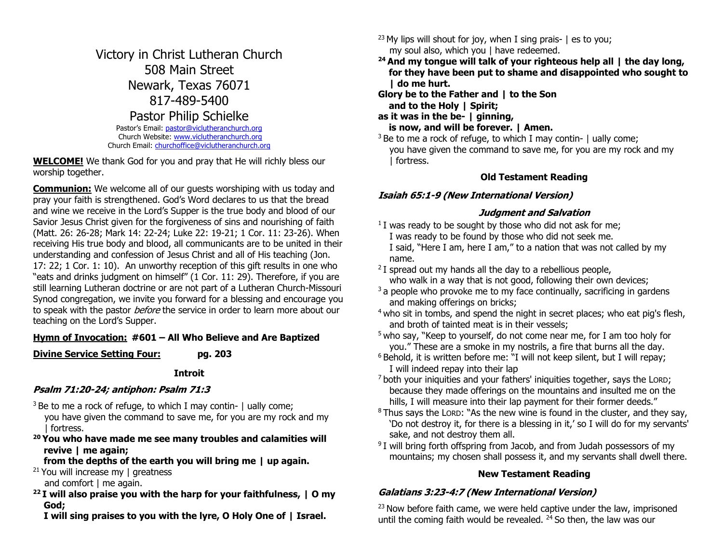## Victory in Christ Lutheran Church 508 Main Street Newark, Texas 76071 817-489-5400 Pastor Philip Schielke Pastor's Email: pastor@viclutheranchurch.org

Church Website: www.viclutheranchurch.org Church Email: churchoffice@viclutheranchurch.org

**WELCOME!** We thank God for you and pray that He will richly bless our worship together.

**Communion:** We welcome all of our guests worshiping with us today and pray your faith is strengthened. God's Word declares to us that the bread and wine we receive in the Lord's Supper is the true body and blood of our Savior Jesus Christ given for the forgiveness of sins and nourishing of faith (Matt. 26: 26-28; Mark 14: 22-24; Luke 22: 19-21; 1 Cor. 11: 23-26). When receiving His true body and blood, all communicants are to be united in their understanding and confession of Jesus Christ and all of His teaching (Jon. 17: 22; 1 Cor. 1: 10). An unworthy reception of this gift results in one who "eats and drinks judgment on himself" (1 Cor. 11: 29). Therefore, if you are still learning Lutheran doctrine or are not part of a Lutheran Church-Missouri Synod congregation, we invite you forward for a blessing and encourage you to speak with the pastor *before* the service in order to learn more about our teaching on the Lord's Supper.

## **Hymn of Invocation: #601 – All Who Believe and Are Baptized**

**Divine Service Setting Four: pg. 203**

**Introit**

## **Psalm 71:20-24; antiphon: Psalm 71:3**

 $3$  Be to me a rock of refuge, to which I may contin-  $\vert$  ually come; you have given the command to save me, for you are my rock and my | fortress.

**<sup>20</sup> You who have made me see many troubles and calamities will revive | me again;**

## **from the depths of the earth you will bring me | up again.**

- <sup>21</sup> You will increase my  $\vert$  greatness and comfort I me again.
- **<sup>22</sup> I will also praise you with the harp for your faithfulness, | O my God;**

 **I will sing praises to you with the lyre, O Holy One of | Israel.**

<sup>23</sup> My lips will shout for joy, when I sing prais-  $\vert$  es to you; my soul also, which you | have redeemed.

- **<sup>24</sup> And my tongue will talk of your righteous help all | the day long, for they have been put to shame and disappointed who sought to | do me hurt.**
- **Glory be to the Father and | to the Son and to the Holy | Spirit;**

**as it was in the be- | ginning,**

 **is now, and will be forever. | Amen.**

 $3$  Be to me a rock of refuge, to which I may contin-  $\vert$  ually come; you have given the command to save me, for you are my rock and my | fortress.

### **Old Testament Reading**

## **Isaiah 65:1-9 (New International Version)**

## **Judgment and Salvation**

- $1$  I was ready to be sought by those who did not ask for me; I was ready to be found by those who did not seek me. I said, "Here I am, here I am," to a nation that was not called by my name.
- $2$  I spread out my hands all the day to a rebellious people, who walk in a way that is not good, following their own devices;
- $3a$  people who provoke me to my face continually, sacrificing in gardens and making offerings on bricks;
- <sup>4</sup> who sit in tombs, and spend the night in secret places; who eat pig's flesh, and broth of tainted meat is in their vessels;
- <sup>5</sup> who say, "Keep to yourself, do not come near me, for I am too holy for you." These are a smoke in my nostrils, a fire that burns all the day.
- <sup>6</sup> Behold, it is written before me: "I will not keep silent, but I will repay; I will indeed repay into their lap
- $<sup>7</sup>$  both your iniquities and your fathers' iniquities together, says the LORD;</sup> because they made offerings on the mountains and insulted me on the hills, I will measure into their lap payment for their former deeds."
- $8$  Thus says the LORD: "As the new wine is found in the cluster, and they say, 'Do not destroy it, for there is a blessing in it,' so I will do for my servants' sake, and not destroy them all.
- <sup>9</sup> I will bring forth offspring from Jacob, and from Judah possessors of my mountains; my chosen shall possess it, and my servants shall dwell there.

## **New Testament Reading**

## **Galatians 3:23-4:7 (New International Version)**

 $23$  Now before faith came, we were held captive under the law, imprisoned until the coming faith would be revealed.  $24$  So then, the law was our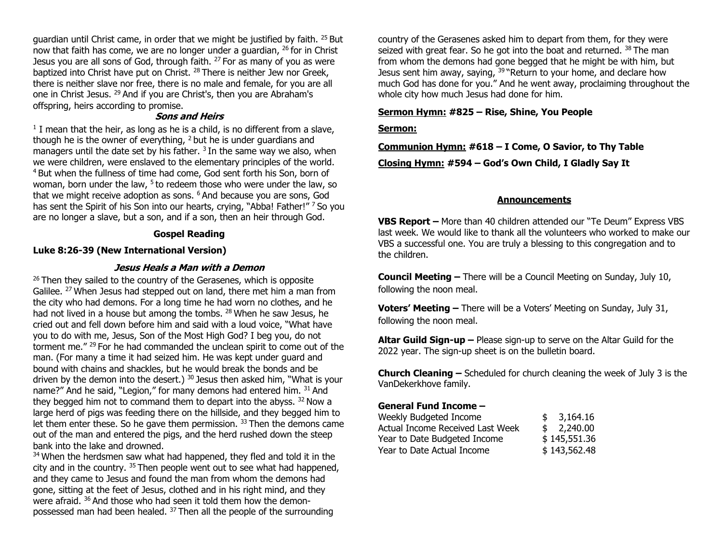guardian until Christ came, in order that we might be justified by faith. <sup>25</sup> But now that faith has come, we are no longer under a guardian, <sup>26</sup> for in Christ Jesus you are all sons of God, through faith. <sup>27</sup> For as many of you as were baptized into Christ have put on Christ. <sup>28</sup> There is neither Jew nor Greek, there is neither slave nor free, there is no male and female, for you are all one in Christ Jesus. <sup>29</sup> And if you are Christ's, then you are Abraham's offspring, heirs according to promise.

#### **Sons and Heirs**

 $1$  I mean that the heir, as long as he is a child, is no different from a slave, though he is the owner of everything, <sup>2</sup> but he is under guardians and managers until the date set by his father.  $3$  In the same way we also, when we were children, were enslaved to the elementary principles of the world. <sup>4</sup> But when the fullness of time had come, God sent forth his Son, born of woman, born under the law, <sup>5</sup> to redeem those who were under the law, so that we might receive adoption as sons. <sup>6</sup> And because you are sons, God has sent the Spirit of his Son into our hearts, crying, "Abba! Father!" <sup>7</sup> So you are no longer a slave, but a son, and if a son, then an heir through God.

#### **Gospel Reading**

#### **Luke 8:26-39 (New International Version)**

#### **Jesus Heals a Man with a Demon**

 $26$  Then they sailed to the country of the Gerasenes, which is opposite Galilee. <sup>27</sup> When Jesus had stepped out on land, there met him a man from the city who had demons. For a long time he had worn no clothes, and he had not lived in a house but among the tombs. <sup>28</sup> When he saw Jesus, he cried out and fell down before him and said with a loud voice, "What have you to do with me, Jesus, Son of the Most High God? I beg you, do not torment me." <sup>29</sup> For he had commanded the unclean spirit to come out of the man. (For many a time it had seized him. He was kept under guard and bound with chains and shackles, but he would break the bonds and be driven by the demon into the desert.)  $30$  Jesus then asked him, "What is your name?" And he said, "Legion," for many demons had entered him. 31 And they begged him not to command them to depart into the abyss.  $32$  Now a large herd of pigs was feeding there on the hillside, and they begged him to let them enter these. So he gave them permission. <sup>33</sup> Then the demons came out of the man and entered the pigs, and the herd rushed down the steep bank into the lake and drowned.

<sup>34</sup> When the herdsmen saw what had happened, they fled and told it in the city and in the country. <sup>35</sup> Then people went out to see what had happened, and they came to Jesus and found the man from whom the demons had gone, sitting at the feet of Jesus, clothed and in his right mind, and they were afraid. <sup>36</sup> And those who had seen it told them how the demonpossessed man had been healed. <sup>37</sup> Then all the people of the surrounding

country of the Gerasenes asked him to depart from them, for they were seized with great fear. So he got into the boat and returned. <sup>38</sup> The man from whom the demons had gone begged that he might be with him, but Jesus sent him away, saying,  $39$  "Return to your home, and declare how much God has done for you." And he went away, proclaiming throughout the whole city how much Jesus had done for him.

#### **Sermon Hymn: #825 – Rise, Shine, You People**

#### **Sermon:**

**Communion Hymn: #618 – I Come, O Savior, to Thy Table Closing Hymn: #594 – God's Own Child, I Gladly Say It**

#### **Announcements**

**VBS Report –** More than 40 children attended our "Te Deum" Express VBS last week. We would like to thank all the volunteers who worked to make our VBS a successful one. You are truly a blessing to this congregation and to the children.

**Council Meeting –** There will be a Council Meeting on Sunday, July 10, following the noon meal.

**Voters' Meeting –** There will be a Voters' Meeting on Sunday, July 31, following the noon meal.

**Altar Guild Sign-up –** Please sign-up to serve on the Altar Guild for the 2022 year. The sign-up sheet is on the bulletin board.

**Church Cleaning –** Scheduled for church cleaning the week of July 3 is the VanDekerkhove family.

#### **General Fund Income –**

| Weekly Budgeted Income           | \$ | 3,164.16     |
|----------------------------------|----|--------------|
| Actual Income Received Last Week |    | \$2,240.00   |
| Year to Date Budgeted Income     |    | \$145,551.36 |
| Year to Date Actual Income       |    | \$143,562.48 |